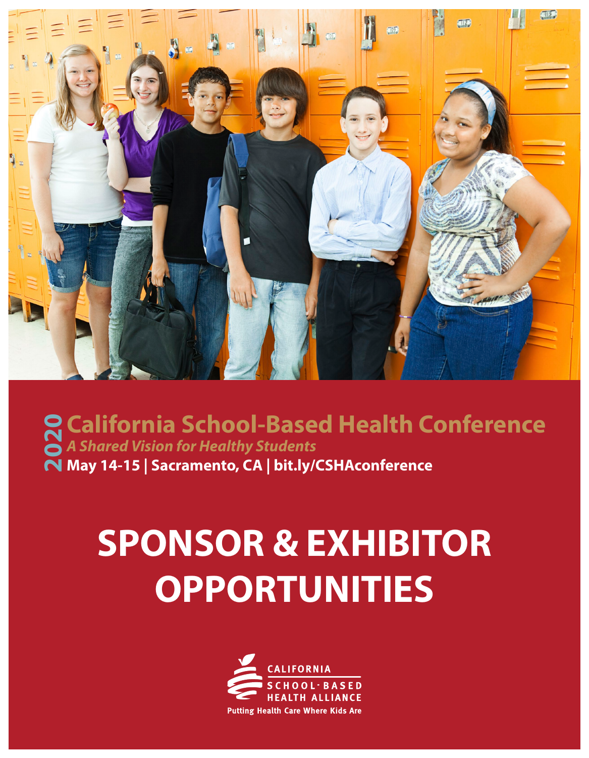

### **California School-Based Health Conference**<br>
a A Shared Vision for Healthy Students<br> **N** May 14-15 | Sacramento, CA | bit.ly/CSHAconference *A Shared Vision for Healthy Students* **May 14-15 | Sacramento, CA | [bit.ly/CSHAconference](http://bit.ly/CSHAconference)**

## **SPONSOR & EXHIBITOR OPPORTUNITIES**

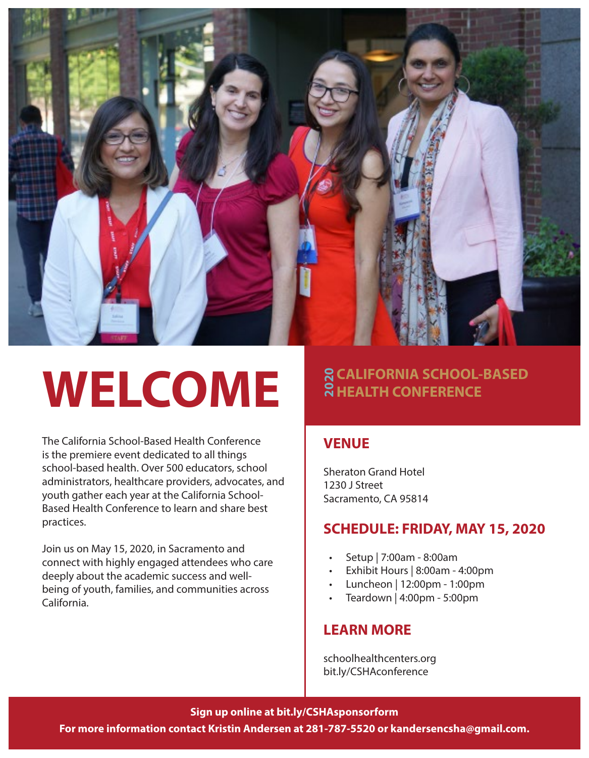

# **WELCOME**

The California School-Based Health Conference is the premiere event dedicated to all things school-based health. Over 500 educators, school administrators, healthcare providers, advocates, and youth gather each year at the California School-Based Health Conference to learn and share best practices.

Join us on May 15, 2020, in Sacramento and connect with highly engaged attendees who care deeply about the academic success and wellbeing of youth, families, and communities across California.

### **R CALIFORNIA SCHOOL-BASED<br>R HEALTH CONFERENCE**

#### **VENUE**

Sheraton Grand Hotel 1230 J Street Sacramento, CA 95814 **CALIFORNIA S<br>
REALTH CONF<br>
VENUE**<br>
Sheraton Grand Hotel<br>
1230 J Street<br>
Sacramento, CA 95814<br> **SCHEDULE: FRIL<br>
•** Exhibit Hours | 8:0<br>
• Exhibit Hours | 8:0<br>
• Luncheon | 12:00p<br>
• Teardown | 4:00pr<br> **LEARN MORE**<br>
schoolh

#### **SCHEDULE: FRIDAY, MAY 15, 2020**

- Setup | 7:00am 8:00am
- Exhibit Hours | 8:00am 4:00pm
- Luncheon | 12:00pm 1:00pm
- Teardown | 4:00pm 5:00pm

#### **LEARN MORE**

[schoolhealthcenters.org](http://www.schoolhealthcenters.org)

#### **Sign up online at [bit.ly/CSHAsponsorform](http://bit.ly/CSHAsponsorform)**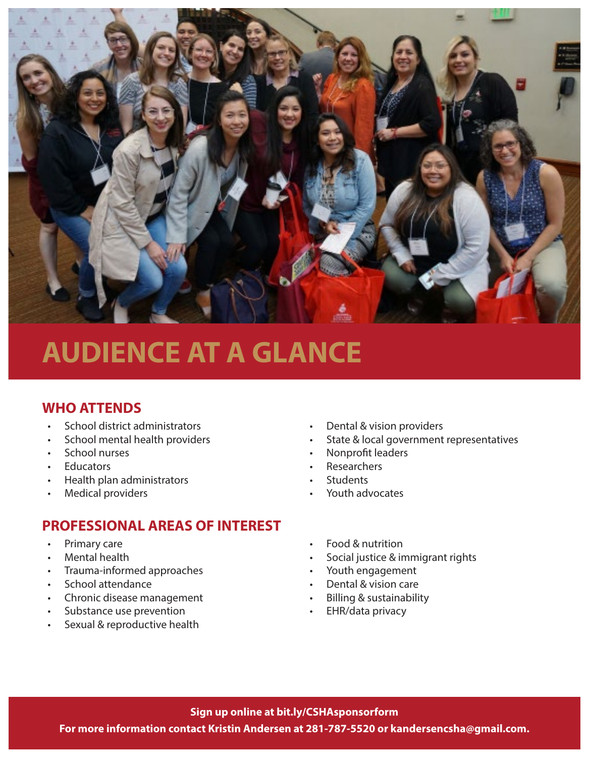

### **AUDIENCE AT A GLANCE**

#### **WHO ATTENDS**

- School district administrators
- School mental health providers
- School nurses
- **Educators**
- Health plan administrators
- **Medical providers**

#### **PROFESSIONAL AREAS OF INTEREST**

- Primary care
- Mental health
- Trauma-informed approaches
- School attendance
- Chronic disease management
- Substance use prevention
- Sexual & reproductive health
- Dental & vision providers
- State & local government representatives
- Nonprofit leaders
- Researchers
- **Students**
- Youth advocates
- Food & nutrition
- Social justice & immigrant rights
- Youth engagement
- Dental & vision care
- Billing & sustainability
- EHR/data privacy

#### **Sign up online at [bit.ly/CSHAsponsorform](http://bit.ly/CSHAsponsorform)**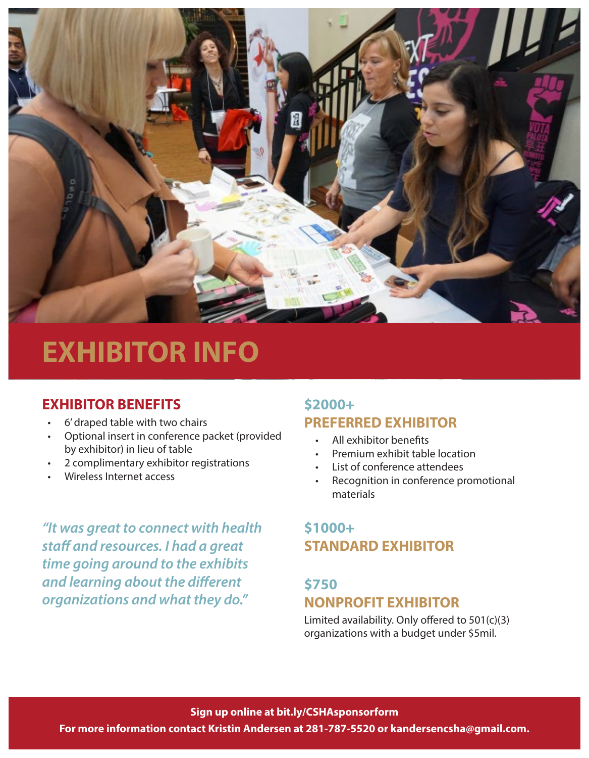

### **EXHIBITOR INFO**

#### **EXHIBITOR BENEFITS**

- 6' draped table with two chairs
- Optional insert in conference packet (provided by exhibitor) in lieu of table
- 2 complimentary exhibitor registrations
- Wireless Internet access

*"It was great to connect with health staff and resources. I had a great time going around to the exhibits and learning about the different organizations and what they do."*

#### **\$2000+ PREFERRED EXHIBITOR**

- All exhibitor benefits
- Premium exhibit table location
- List of conference attendees
- Recognition in conference promotional materials

#### **\$1000+ STANDARD EXHIBITOR**

#### **\$750 NONPROFIT EXHIBITOR**

Limited availability. Only offered to 501(c)(3) organizations with a budget under \$5mil.

**Sign up online at [bit.ly/CSHAsponsorform](http://bit.ly/CSHAsponsorform)**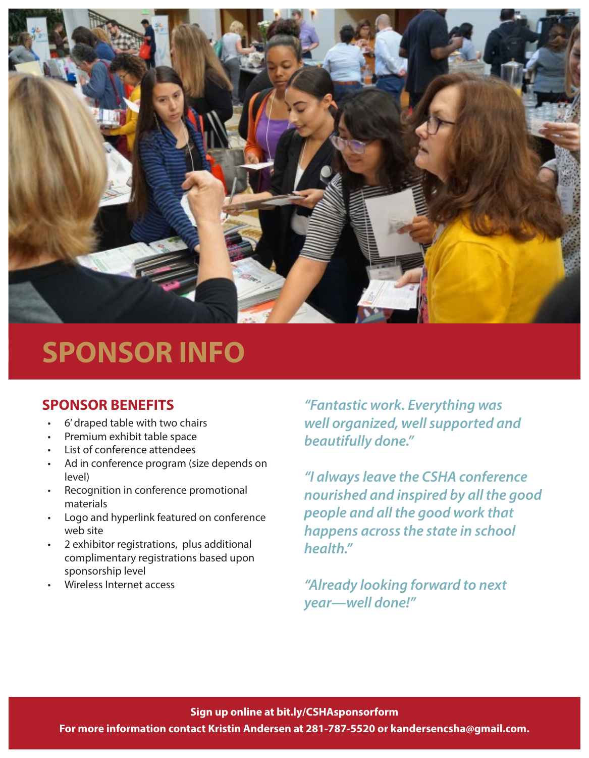

### **SPONSOR INFO**

- 6' draped table with two chairs
- Premium exhibit table space
- List of conference attendees
- Ad in conference program (size depends on level)
- Recognition in conference promotional materials
- Logo and hyperlink featured on conference web site
- 2 exhibitor registrations, plus additional complimentary registrations based upon sponsorship level
- Wireless Internet access

**SPONSOR BENEFITS** *"Fantastic work. Everything was well organized, well supported and beautifully done."*

> *"I always leave the CSHA conference nourished and inspired by all the good people and all the good work that happens across the state in school health."*

*"Already looking forward to next year—well done!"*

**Sign up online at [bit.ly/CSHAsponsorform](http://bit.ly/CSHAsponsorform)**